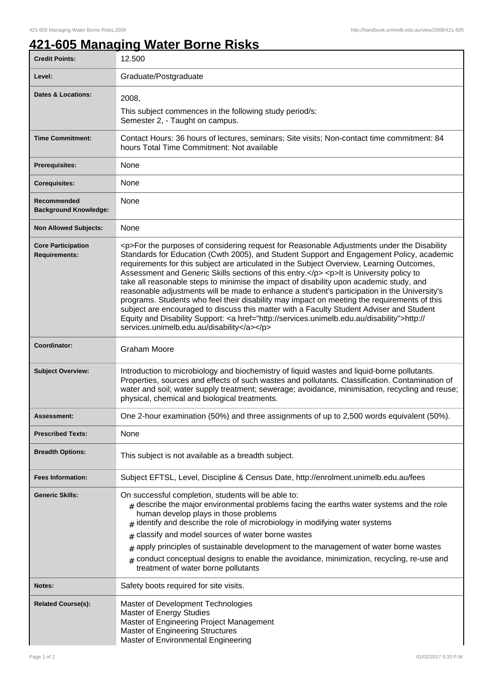ı

## **421-605 Managing Water Borne Risks**

| <b>Credit Points:</b>                             | 12.500                                                                                                                                                                                                                                                                                                                                                                                                                                                                                                                                                                                                                                                                                                                                                                                                                                                                                                                       |
|---------------------------------------------------|------------------------------------------------------------------------------------------------------------------------------------------------------------------------------------------------------------------------------------------------------------------------------------------------------------------------------------------------------------------------------------------------------------------------------------------------------------------------------------------------------------------------------------------------------------------------------------------------------------------------------------------------------------------------------------------------------------------------------------------------------------------------------------------------------------------------------------------------------------------------------------------------------------------------------|
| Level:                                            | Graduate/Postgraduate                                                                                                                                                                                                                                                                                                                                                                                                                                                                                                                                                                                                                                                                                                                                                                                                                                                                                                        |
| <b>Dates &amp; Locations:</b>                     | 2008,                                                                                                                                                                                                                                                                                                                                                                                                                                                                                                                                                                                                                                                                                                                                                                                                                                                                                                                        |
|                                                   | This subject commences in the following study period/s:<br>Semester 2, - Taught on campus.                                                                                                                                                                                                                                                                                                                                                                                                                                                                                                                                                                                                                                                                                                                                                                                                                                   |
| <b>Time Commitment:</b>                           | Contact Hours: 36 hours of lectures, seminars; Site visits; Non-contact time commitment: 84<br>hours Total Time Commitment: Not available                                                                                                                                                                                                                                                                                                                                                                                                                                                                                                                                                                                                                                                                                                                                                                                    |
| <b>Prerequisites:</b>                             | None                                                                                                                                                                                                                                                                                                                                                                                                                                                                                                                                                                                                                                                                                                                                                                                                                                                                                                                         |
| <b>Corequisites:</b>                              | None                                                                                                                                                                                                                                                                                                                                                                                                                                                                                                                                                                                                                                                                                                                                                                                                                                                                                                                         |
| Recommended<br><b>Background Knowledge:</b>       | None                                                                                                                                                                                                                                                                                                                                                                                                                                                                                                                                                                                                                                                                                                                                                                                                                                                                                                                         |
| <b>Non Allowed Subjects:</b>                      | None                                                                                                                                                                                                                                                                                                                                                                                                                                                                                                                                                                                                                                                                                                                                                                                                                                                                                                                         |
| <b>Core Participation</b><br><b>Requirements:</b> | <p>For the purposes of considering request for Reasonable Adjustments under the Disability<br/>Standards for Education (Cwth 2005), and Student Support and Engagement Policy, academic<br/>requirements for this subject are articulated in the Subject Overview, Learning Outcomes,<br/>Assessment and Generic Skills sections of this entry.</p> <p>lt is University policy to<br/>take all reasonable steps to minimise the impact of disability upon academic study, and<br/>reasonable adjustments will be made to enhance a student's participation in the University's<br/>programs. Students who feel their disability may impact on meeting the requirements of this<br/>subject are encouraged to discuss this matter with a Faculty Student Adviser and Student<br/>Equity and Disability Support: &lt; a href="http://services.unimelb.edu.au/disability"&gt;http://<br/>services.unimelb.edu.au/disability</p> |
| Coordinator:                                      | Graham Moore                                                                                                                                                                                                                                                                                                                                                                                                                                                                                                                                                                                                                                                                                                                                                                                                                                                                                                                 |
| <b>Subject Overview:</b>                          | Introduction to microbiology and biochemistry of liquid wastes and liquid-borne pollutants.<br>Properties, sources and effects of such wastes and pollutants. Classification. Contamination of<br>water and soil; water supply treatment; sewerage; avoidance, minimisation, recycling and reuse;<br>physical, chemical and biological treatments.                                                                                                                                                                                                                                                                                                                                                                                                                                                                                                                                                                           |
| Assessment:                                       | One 2-hour examination (50%) and three assignments of up to 2,500 words equivalent (50%).                                                                                                                                                                                                                                                                                                                                                                                                                                                                                                                                                                                                                                                                                                                                                                                                                                    |
| <b>Prescribed Texts:</b>                          | None                                                                                                                                                                                                                                                                                                                                                                                                                                                                                                                                                                                                                                                                                                                                                                                                                                                                                                                         |
| <b>Breadth Options:</b>                           | This subject is not available as a breadth subject.                                                                                                                                                                                                                                                                                                                                                                                                                                                                                                                                                                                                                                                                                                                                                                                                                                                                          |
| <b>Fees Information:</b>                          | Subject EFTSL, Level, Discipline & Census Date, http://enrolment.unimelb.edu.au/fees                                                                                                                                                                                                                                                                                                                                                                                                                                                                                                                                                                                                                                                                                                                                                                                                                                         |
| <b>Generic Skills:</b>                            | On successful completion, students will be able to:<br>$_{\#}$ describe the major environmental problems facing the earths water systems and the role<br>human develop plays in those problems<br>$#$ identify and describe the role of microbiology in modifying water systems<br>classify and model sources of water borne wastes<br>#<br>apply principles of sustainable development to the management of water borne wastes<br>#<br>conduct conceptual designs to enable the avoidance, minimization, recycling, re-use and<br>treatment of water borne pollutants                                                                                                                                                                                                                                                                                                                                                       |
| Notes:                                            | Safety boots required for site visits.                                                                                                                                                                                                                                                                                                                                                                                                                                                                                                                                                                                                                                                                                                                                                                                                                                                                                       |
| <b>Related Course(s):</b>                         | Master of Development Technologies<br>Master of Energy Studies<br>Master of Engineering Project Management<br>Master of Engineering Structures<br>Master of Environmental Engineering                                                                                                                                                                                                                                                                                                                                                                                                                                                                                                                                                                                                                                                                                                                                        |